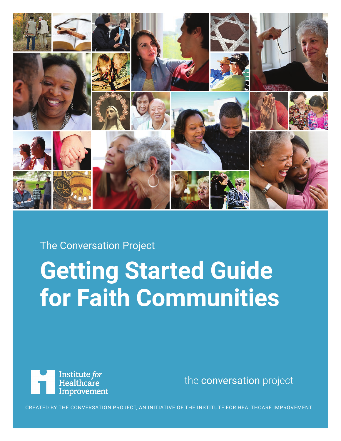

The Conversation Project

## **Getting Started Guide for Faith Communities**



the [conversation](https://theconversationproject.org/) project

CREATED BY THE CONVERSATION PROJECT, AN INITIATIVE OF THE INSTITUTE FOR HEALTHCARE IMPROVEMENT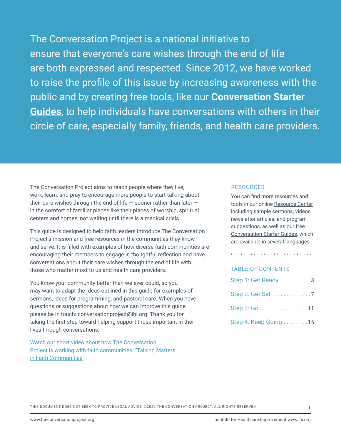The Conversation Project is a national initiative to ensure that everyone's care wishes through the end of life are both expressed and respected. Since 2012, we have worked to raise the profile of this issue by increasing awareness with the public and by creating free tools, like our **[Conversation Starter](https://theconversationproject.org/get-started)  Guides**, to help individuals have conversations with others in their circle of care, especially family, friends, and health care providers.

The Conversation Project aims to reach people where they live, work, learn, and pray to encourage more people to start talking about their care wishes through the end of life  $-$  sooner rather than later  $$ in the comfort of familiar places like their places of worship, spiritual centers and homes, not waiting until there is a medical crisis.

This guide is designed to help faith leaders introduce The Conversation Project's mission and free resources in the communities they know and serve. It is filled with examples of how diverse faith communities are encouraging their members to engage in thoughtful reflection and have conversations about their care wishes through the end of life with those who matter most to us and health care providers.

You know your community better than we ever could, so you may want to adapt the ideas outlined in this guide for examples of sermons, ideas for programming, and pastoral care. When you have questions or suggestions about how we can improve this guide, please be in touch: [conversationproject@ihi.org](mailto:conversationproject%40ihi.org?subject=). Thank you for taking the first step toward helping support those important in their lives through conversations.

Watch our short video about how The Conversation Project is working with faith communities: ["Talking Matters](https://theconversationproject.org/faith/)  [in Faith Communities](https://theconversationproject.org/faith/)"

#### RESOURCES

You can find more resources and tools in our online [Resource Center,](https://theconversationproject.org/faith) including sample sermons, videos, newsletter articles, and program suggestions, as well as our free [Conversation Starter](https://theconversationproject.org/get-started) Guides, which are available in several languages.

#### TABLE OF CONTENTS

| Step 1: Get Ready 3                          |  |
|----------------------------------------------|--|
|                                              |  |
| Step 3: Go. $\dots$ . $\dots$ . $\dots$ . 11 |  |
| Step 4: Keep Going 15                        |  |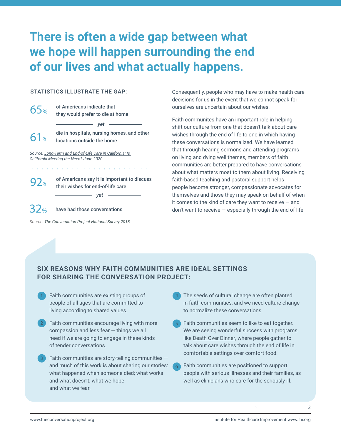## **There is often a wide gap between what we hope will happen surrounding the end of our lives and what actually happens.**

#### STATISTICS ILLUSTRATE THE GAP:

| 65%                                                                                                | of Americans indicate that<br>they would prefer to die at home                          |  |
|----------------------------------------------------------------------------------------------------|-----------------------------------------------------------------------------------------|--|
| 61%                                                                                                | vet<br>die in hospitals, nursing homes, and other<br>locations outside the home         |  |
| Source: Long-Term and End-of-Life Care in California: Is<br>California Meeting the Need? June 2020 |                                                                                         |  |
| 92%                                                                                                | of Americans say it is important to discuss<br>their wishes for end-of-life care<br>vet |  |

have had those conversations 32%

*Source: [The Conversation Project National Survey 201](https://theconversationproject.org/final-2018-kelton-findings-press-release/)8*

Consequently, people who may have to make health care decisions for us in the event that we cannot speak for ourselves are uncertain about our wishes.

Faith communites have an important role in helping shift our culture from one that doesn't talk about care wishes through the end of life to one in which having these conversations is normalized. We have learned that through hearing sermons and attending programs on living and dying well themes, members of faith communities are better prepared to have conversations about what matters most to them about living. Receiving faith-based teaching and pastoral support helps people become stronger, compassionate advocates for themselves and those they may speak on behalf of when it comes to the kind of care they want to receive — and  $\gamma$  don't want to receive  $-$  especially through the end of life.

#### **SIX REASONS WHY FAITH COMMUNITIES ARE IDEAL SETTINGS FOR SHARING THE CONVERSATION PROJECT:**

THIS DOCUMENT DOES NOT SEEK TO PROVIDE LEGAL ADVICE. ©2022 THE CONVERSATION PROJECT. ALL RIGHTS RESERVED.

- Faith communities are existing groups of people of all ages that are committed to living according to shared values. 1
- Faith communities encourage living with more compassion and less fear — things we all need if we are going to engage in these kinds of tender conversations. 2
- Faith communities are story-telling communities and much of this work is about sharing our stories: what happened when someone died; what works and what doesn't; what we hope and what we fear. 3
- The seeds of cultural change are often planted in faith communities, and we need culture change to normalize these conversations. 4
- Faith communities seem to like to eat together. We are seeing wonderful success with programs like [Death Over Dinner,](http://deathoverdinner.org/) where people gather to talk about care wishes through the end of life in comfortable settings over comfort food.
- Faith communities are positioned to support people with serious illnesses and their families, as well as clinicians who care for the seriously ill.

2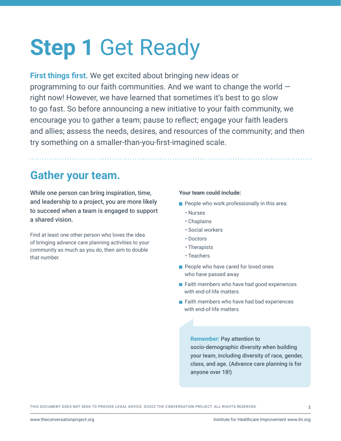## **Step 1** Get Ready

**First things first.** We get excited about bringing new ideas or programming to our faith communities. And we want to change the world right now! However, we have learned that sometimes it's best to go slow to go fast. So before announcing a new initiative to your faith community, we encourage you to gather a team; pause to reflect; engage your faith leaders and allies; assess the needs, desires, and resources of the community; and then try something on a smaller-than-you-first-imagined scale.

## **Gather your team.**

While one person can bring inspiration, time, and leadership to a project, you are more likely to succeed when a team is engaged to support a shared vision.

Find at least one other person who loves the idea of bringing advance care planning activities to your community as much as you do, then aim to double that number.

#### **Your team could include:**

- $\blacksquare$  People who work professionally in this area:
	- Nurses
	- Chaplains
	- Social workers
	- Doctors
	- Therapists
	- Teachers
- People who have cared for loved ones who have passed away
- Faith members who have had good experiences with end-of-life matters
- Faith members who have had bad experiences with end-of-life matters

#### **Remember:** Pay attention to

socio-demographic diversity when building your team, including diversity of race, gender, class, and age. (Advance care planning is for anyone over 18!)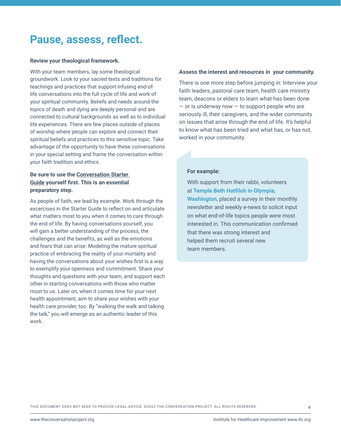### **Pause, assess, reflect.**

#### **Review your theological framework.**

With your team members, lay some theological groundwork. Look to your sacred texts and traditions for teachings and practices that support infusing end-oflife conversations into the full cycle of life and work of your spiritual community. Beliefs and needs around the topics of death and dying are deeply personal and are connected to cultural backgrounds as well as to individual life experiences. There are few places outside of places of worship where people can explore and connect their spiritual beliefs and practices to this sensitive topic. Take advantage of the opportunity to have these conversations in your special setting and frame the conversation within your faith tradition and ethics.

#### **Be sure to use the [Conversation Starter](https://theconversationproject.org/wp-content/uploads/2020/12/ConversationStarterGuide.pdf)  Guide yourself first. This is an essential preparatory step.**

As people of faith, we lead by example. Work through the excercises in the Starter Guide to reflect on and articulate what matters most to you when it comes to care through the end of life. By having conversations yourself, you will gain a better understanding of the process, the challenges and the benefits, as well as the emotions and fears that can arise. Modeling the mature spiritual practice of embracing the reality of your mortality and having the conversations about your wishes first is a way to exemplify your openness and commitment. Share your thoughts and questions with your team, and support each other in starting conversations with those who matter most to us. Later on, when it comes time for your next health appointment, aim to share your wishes with your health care provider, too. By "walking the walk and talking the talk," you will emerge as an authentic leader of this work.

#### **Assess the interest and resources in your community.**

There is one more step before jumping in: Interview your faith leaders, pastoral care team, health care ministry team, deacons or elders to learn what has been done  $-$  or is underway now  $-$  to support people who are seriously ill, their caregivers, and the wider community on issues that arise through the end of life. It's helpful to know what has been tried and what has, or has not, worked in your community.

#### **For example:**

With support from their rabbi, volunteers at **Temple Beth Hatfiloh in Olympia, Washington**, placed a survey in their monthly newsletter and weekly e-news to solicit input on what end-of-life topics people were most interested in. This communication confirmed that there was strong interest and helped them recruit several new team members.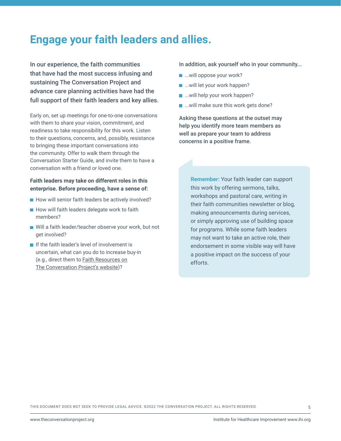### **Engage your faith leaders and allies.**

In our experience, the faith communities that have had the most success infusing and sustaining The Conversation Project and advance care planning activities have had the full support of their faith leaders and key allies.

Early on, set up meetings for one-to-one conversations with them to share your vision, commitment, and readiness to take responsibility for this work. Listen to their questions, concerns, and, possibly, resistance to bringing these important conversations into the community. Offer to walk them through the Conversation Starter Guide, and invite them to have a conversation with a friend or loved one.

#### **Faith leaders may take on different roles in this enterprise. Before proceeding, have a sense of:**

- $\blacksquare$  How will senior faith leaders be actively involved?
- $\blacksquare$  How will faith leaders delegate work to faith members?
- Will a faith leader/teacher observe your work, but not get involved?
- If the faith leader's level of involvement is uncertain, what can you do to increase buy-in (e.g., direct them to Faith Resources [on](https://theconversationproject.org/faith/) [The Conversation Project's website\)](https://theconversationproject.org/faith/)?

In addition, ask yourself who in your community...

- ...will oppose your work?
- **...will let your work happen?**
- ...will help your work happen?
- ...will make sure this work gets done?

Asking these questions at the outset may help you identify more team members as well as prepare your team to address concerns in a positive frame.

> **Remember:** Your faith leader can support this work by offering sermons, talks, workshops and pastoral care, writing in their faith communities newsletter or blog, making announcements during services, or simply approving use of building space for programs. While some faith leaders may not want to take an active role, their endorsement in some visible way will have a positive impact on the success of your efforts.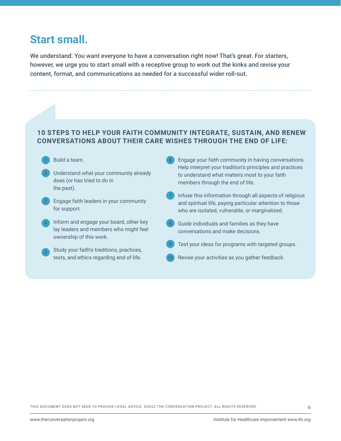## **Start small.**

We understand: You want everyone to have a conversation right now! That's great. For starters, however, we urge you to start small with a receptive group to work out the kinks and revise your content, format, and communications as needed for a successful wider roll-out.

#### **10 STEPS TO HELP YOUR FAITH COMMUNITY INTEGRATE, SUSTAIN, AND RENEW CONVERSATIONS ABOUT THEIR CARE WISHES THROUGH THE END OF LIFE:**

10



2

1 Build a team. The same state of the state of the state of the state of the state of the state of the state of the state of the state of the state of the state of the state of the state of the state of the state of the st

- Understand what your community already does (or has tried to do in the past).
- Engage faith leaders in your community for support.
- Inform and engage your board, other key lay leaders and members who might feel ownership of this work. 4
	- Study your faith's traditions, practices, texts, and ethics regarding end of life.
- Engage your faith community in having conversations. Help interpret your tradition's principles and practices to understand what matters most to your faith members through the end of life.
- Infuse this information through all aspects of religious and spiritual life, paying particular attention to those who are isolated, vulnerable, or marginalized.
- Guide individuals and families as they have conversations and make decisions.
- Test your ideas for programs with targeted groups.
- Revise your activities as you gather feedback.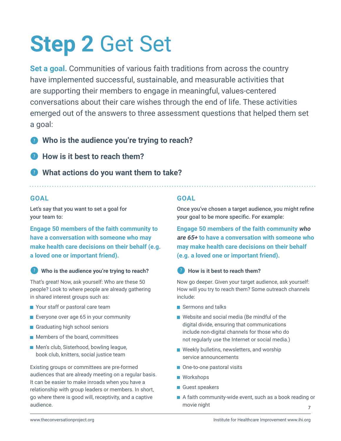# **Step 2** Get Set

**Set a goal.** Communities of various faith traditions from across the country have implemented successful, sustainable, and measurable activities that are supporting their members to engage in meaningful, values-centered conversations about their care wishes through the end of life. These activities emerged out of the answers to three assessment questions that helped them set a goal:

? **Who is the audience you're trying to reach?** 

- ? **How is it best to reach them?**
- ? **What actions do you want them to take?**

#### **GOAL**

Let's say that you want to set a goal for your team to:

**Engage 50 members of the faith community to have a conversation with someone who may make health care decisions on their behalf (e.g. a loved one or important friend).**

? **Who is the audience you're trying to reach?** 

That's great! Now, ask yourself: Who are these 50 people? Look to where people are already gathering in shared interest groups such as:

- Your staff or pastoral care team
- **Exeryone over age 65 in your community**
- Graduating high school seniors
- **Members of the board, committees**
- **Men's club, Sisterhood, bowling league,** book club, knitters, social justice team

Existing groups or committees are pre-formed audiences that are already meeting on a regular basis. It can be easier to make inroads when you have a relationship with group leaders or members. In short, go where there is good will, receptivity, and a captive audience.

#### **GOAL**

Once you've chosen a target audience, you might refine your goal to be more specific. For example:

**Engage 50 members of the faith community who are 65+ to have a conversation with someone who may make health care decisions on their behalf (e.g. a loved one or important friend).**

? **How is it best to reach them?** 

Now go deeper. Given your target audience, ask yourself: How will you try to reach them? Some outreach channels include:

- Sermons and talks
- Website and social media (Be mindful of the digital divide, ensuring that communications include non-digital channels for those who do not regularly use the Internet or social media.)
- Weekly bulletins, newsletters, and worship service announcements
- One-to-one pastoral visits
- Workshops
- Guest speakers
- 7 A faith community-wide event, such as a book reading or movie night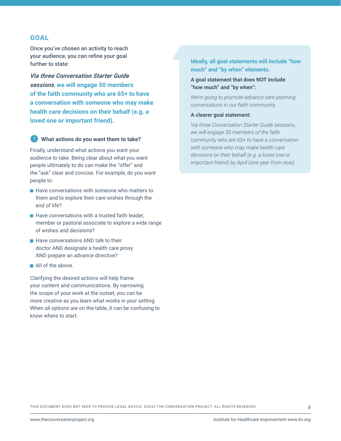#### **GOAL**

Once you've chosen an activity to reach your audience, you can refine your goal further to state:

*Via three Conversation Starter Guide sessions*, **we will engage 50 members of the faith community who are 65+ to have a conversation with someone who may make health care decisions on their behalf (e.g. a loved one or important friend).**

#### ? **What actions do you want them to take?**

Finally, understand what actions you want your audience to take. Being clear about what you want people ultimately to do can make the "offer" and the "ask" clear and concise. For example, do you want people to:

- $\blacksquare$  Have conversations with someone who matters to them and to explore their care wishes through the end of life?
- $\blacksquare$  Have conversations with a trusted faith leader, member or pastoral associate to explore a wide range of wishes and decisions?
- $\blacksquare$  Have conversations AND talk to their doctor AND designate a health care proxy AND prepare an advance directive?
- All of the above.

Clarifying the desired actions will help frame your content and communications. By narrowing the scope of your work at the outset, you can be more creative as you learn what works in your setting. When all options are on the table, it can be confusing to know where to start.

#### **Ideally, all goal statements will include "how much" and "by when" elements.**

#### **A goal statement that does NOT include "how much" and "by when":**

*We're going to promote advance care planning conversations in our faith community.* 

#### **A clearer goal statement:**

*Via three Conversation Starter Guide sessions, we will engage 50 members of the faith community who are 65+ to have a conversation with someone who may make health care decisions on their behalf (e.g. a loved one or important friend) by April (one year from now).*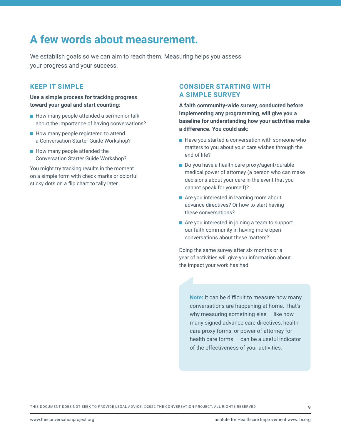## **A few words about measurement.**

We establish goals so we can aim to reach them. Measuring helps you assess your progress and your success.

#### **KEEP IT SIMPLE**

**Use a simple process for tracking progress toward your goal and start counting:** 

- How many people attended a sermon or talk about the importance of having conversations?
- $\blacksquare$  How many people registered to attend a Conversation Starter Guide Workshop?
- $\blacksquare$  How many people attended the Conversation Starter Guide Workshop?

You might try tracking results in the moment on a simple form with check marks or colorful sticky dots on a flip chart to tally later.

#### **CONSIDER STARTING WITH A SIMPLE SURVEY**

**A faith community-wide survey, conducted before implementing any programming, will give you a baseline for understanding how your activities make a difference. You could ask:** 

- $\blacksquare$  Have you started a conversation with someone who matters to you about your care wishes through the end of life?
- Do you have a health care proxy/agent/durable medical power of attorney (a person who can make decisions about your care in the event that you cannot speak for yourself)?
- Are you interested in learning more about advance directives? Or how to start having these conversations?
- Are you interested in joining a team to support our faith community in having more open conversations about these matters?

Doing the same survey after six months or a year of activities will give you information about the impact your work has had.

**Note:** It can be difficult to measure how many conversations are happening at home. That's why measuring something else — like how many signed advance care directives, health care proxy forms, or power of attorney for health care forms — can be a useful indicator of the effectiveness of your activities.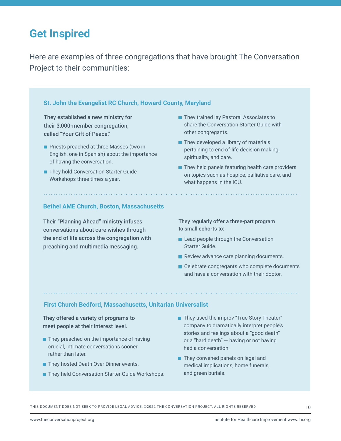## **Get Inspired**

Here are examples of three congregations that have brought The Conversation Project to their communities:

#### **St. John the Evangelist RC Church, Howard County, Maryland**

They established a new ministry for their 3,000-member congregation, called "Your Gift of Peace."

- **Priests preached at three Masses (two in** English, one in Spanish) about the importance of having the conversation.
- They hold Conversation Starter Guide Workshops three times a year.
- They trained lay Pastoral Associates to share the Conversation Starter Guide with other congregants.
- $\blacksquare$  They developed a library of materials pertaining to end-of-life decision making, spirituality, and care.
- $\blacksquare$  They held panels featuring health care providers on topics such as hospice, palliative care, and what happens in the ICU.

#### **Bethel AME Church, Boston, Massachusetts**

Their "Planning Ahead" ministry infuses conversations about care wishes through the end of life across the congregation with preaching and multimedia messaging.

They regularly offer a three-part program to small cohorts to:

- Lead people through the Conversation Starter Guide.
- Review advance care planning documents.
- Celebrate congregants who complete documents and have a conversation with their doctor.

#### **First Church Bedford, Massachusetts, Unitarian Universalist**

They offered a variety of programs to meet people at their interest level.

- $\blacksquare$  They preached on the importance of having crucial, intimate conversations sooner rather than later.
- They hosted Death Over Dinner events.
- **They held Conversation Starter Guide Workshops.**
- **They used the improv "True Story Theater"** company to dramatically interpret people's stories and feelings about a "good death" or a "hard death" — having or not having had a conversation.
- They convened panels on legal and medical implications, home funerals, and green burials.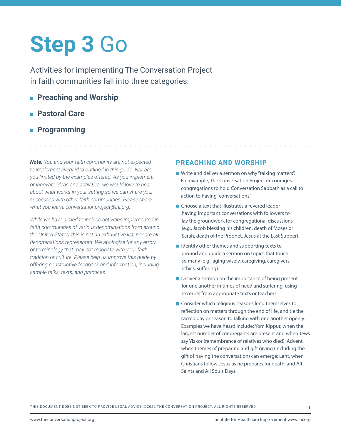## **Step 3** Go

Activities for implementing The Conversation Project in faith communities fall into three categories:

- **Preaching and Worship**
- **Pastoral Care**
- **Programming**

*Note: You and your faith community are not expected to implement every idea outlined in this guide. Nor are you limited by the examples offered. As you implement or innovate ideas and activities, we would love to hear about what works in your setting so we can share your successes with other faith communities. Please share what you learn: [conversationproject@ihi.org.](mailto:conversationproject%40ihi.org?subject=)*

*While we have aimed to include activities implemented in faith communities of various denominations from around the United States, this is not an exhaustive list, nor are all denominations represented. We apologize for any errors or terminology that may not resonate with your faith tradition or culture. Please help us improve this guide by offering constructive feedback and information, including sample talks, texts, and practices.* 

#### **PREACHING AND WORSHIP**

- Write and deliver a sermon on why "talking matters". For example, The Conversation Project encourages congregations to hold Conversation Sabbath as a call to action to having "conversations".
- Choose a text that illustrates a revered leader having important conversations with followers to lay the groundwork for congregational discussions (e.g., Jacob blessing his children, death of Moses or Sarah, death of the Prophet, Jesus at the Last Supper).
- $\blacksquare$  Identify other themes and supporting texts to ground and guide a sermon on topics that touch so many (e.g., aging wisely, caregiving, caregivers, ethics, suffering).
- Deliver a sermon on the importance of being present for one another in times of need and suffering, using excerpts from appropriate texts or teachers.
- Consider which religious seasons lend themselves to reflection on matters through the end of life, and tie the sacred day or season to talking with one another openly. Examples we have heard include: Yom Kippur, when the largest number of congregants are present and when Jews say Yizkor (remembrance of relatives who died); Advent, when themes of preparing and gift giving (including the gift of having the conversation) can emerge; Lent, when Christians follow Jesus as he prepares for death; and All Saints and All Souls Days.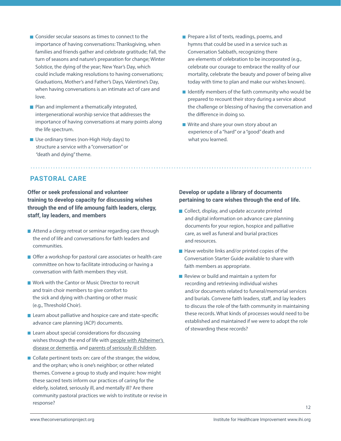- Consider secular seasons as times to connect to the importance of having conversations: Thanksgiving, when families and friends gather and celebrate gratitude; Fall, the turn of seasons and nature's preparation for change; Winter Solstice, the dying of the year; New Year's Day, which could include making resolutions to having conversations; Graduations, Mother's and Father's Days, Valentine's Day, when having conversations is an intimate act of care and love.
- **Plan and implement a thematically integrated,** intergenerational worship service that addresses the importance of having conversations at many points along the life spectrum.
- Use ordinary times (non-High Holy days) to structure a service with a "conversation" or "death and dying" theme.
- **Prepare a list of texts, readings, poems, and** hymns that could be used in a service such as Conversation Sabbath, recognizing there are elements of celebration to be incorporated (e.g., celebrate our courage to embrace the reality of our mortality, celebrate the beauty and power of being alive today with time to plan and make our wishes known).
- $\blacksquare$  Identify members of the faith community who would be prepared to recount their story during a service about the challenge or blessing of having the conversation and the difference in doing so.
- Write and share your own story about an experience of a "hard" or a "good" death and what you learned.

#### **PASTORAL CARE**

**Offer or seek professional and volunteer training to develop capacity for discussing wishes through the end of life amoung faith leaders, clergy, staff, lay leaders, and members**

- Attend a clergy retreat or seminar regarding care through the end of life and conversations for faith leaders and communities.
- Offer a workshop for pastoral care associates or health care committee on how to facilitate introducing or having a conversation with faith members they visit.
- **Nork with the Cantor or Music Director to recruit** and train choir members to give comfort to the sick and dying with chanting or other music (e.g., Threshold Choir).
- Learn about palliative and hospice care and state-specific advance care planning (ACP) documents.
- $\blacksquare$  Learn about special considerations for discussing wishes through the end of life with people with Alzheimer's [disease or dementia,](https://theconversationproject.org/wp-content/uploads/2020/12/DementiaGuide.pdf) and [parents of seriously ill children.](https://theconversationproject.org/wp-content/uploads/2020/12/PediatricGuide.pdf)
- $\blacksquare$  Collate pertinent texts on: care of the stranger, the widow, and the orphan; who is one's neighbor; or other related themes. Convene a group to study and inquire: how might these sacred texts inform our practices of caring for the elderly, isolated, seriously ill, and mentally ill? Are there community pastoral practices we wish to institute or revise in response?

#### **Develop or update a library of documents pertaining to care wishes through the end of life.**

- Collect, display, and update accurate printed and digital information on advance care planning documents for your region, hospice and palliative care, as well as funeral and burial practices and resources.
- $\blacksquare$  Have website links and/or printed copies of the Conversation Starter Guide available to share with faith members as appropriate.
- Review or build and maintain a system for recording and retrieving individual wishes and/or documents related to funeral/memorial services and burials. Convene faith leaders, staff, and lay leaders to discuss the role of the faith community in maintaining these records. What kinds of processes would need to be established and maintained if we were to adopt the role of stewarding these records?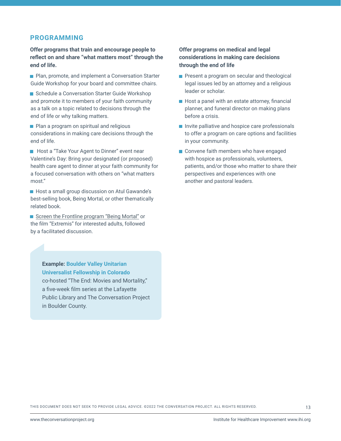#### **PROGRAMMING**

**Offer programs that train and encourage people to reflect on and share "what matters most" through the end of life.**

**Plan, promote, and implement a Conversation Starter** Guide Workshop for your board and committee chairs.

Schedule a Conversation Starter Guide Workshop and promote it to members of your faith community as a talk on a topic related to decisions through the end of life or why talking matters.

**Plan a program on spiritual and religious** considerations in making care decisions through the end of life.

**Host a "Take Your Agent to Dinner" event near** Valentine's Day: Bring your designated (or proposed) health care agent to dinner at your faith community for a focused conversation with others on "what matters most."

Host a small group discussion on Atul Gawande's best-selling book, Being Mortal, or other thematically related book.

[Screen the Frontline program "Being Mortal"](http://www.pbs.org/video/frontline-being-mortal/) or the film "Extremis" for interested adults, followed by a facilitated discussion.

> **Example: Boulder Valley Unitarian Universalist Fellowship in Colorado**  co-hosted "The End: Movies and Mortality," a five-week film series at the Lafayette Public Library and The Conversation Project in Boulder County.

#### **Offer programs on medical and legal considerations in making care decisions through the end of life**

- **Present a program on secular and theological** legal issues led by an attorney and a religious leader or scholar.
- Host a panel with an estate attorney, financial planner, and funeral director on making plans before a crisis.
- Invite palliative and hospice care professionals to offer a program on care options and facilities in your community.
- Convene faith members who have engaged with hospice as professionals, volunteers, patients, and/or those who matter to share their perspectives and experiences with one another and pastoral leaders.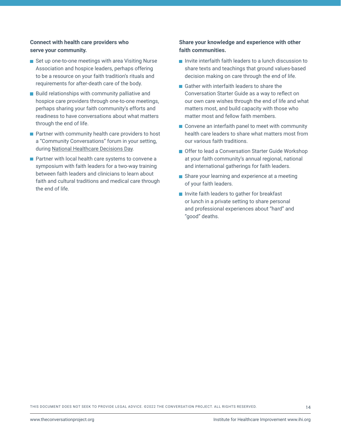#### **Connect with health care providers who serve your community.**

- Set up one-to-one meetings with area Visiting Nurse Association and hospice leaders, perhaps offering to be a resource on your faith tradition's rituals and requirements for after-death care of the body.
- $\blacksquare$  Build relationships with community palliative and hospice care providers through one-to-one meetings, perhaps sharing your faith community's efforts and readiness to have conversations about what matters through the end of life.
- $\blacksquare$  Partner with community health care providers to host a "Community Conversations" forum in your setting, during [National Healthcare Decisions Day](https://www.nhdd.org/).
- **Partner with local health care systems to convene a** symposium with faith leaders for a two-way training between faith leaders and clinicians to learn about faith and cultural traditions and medical care through the end of life.

#### **Share your knowledge and experience with other faith communities.**

- Invite interfaith faith leaders to a lunch discussion to share texts and teachings that ground values-based decision making on care through the end of life.
- Gather with interfaith leaders to share the Conversation Starter Guide as a way to reflect on our own care wishes through the end of life and what matters most, and build capacity with those who matter most and fellow faith members.
- Convene an interfaith panel to meet with community health care leaders to share what matters most from our various faith traditions.
- Offer to lead a Conversation Starter Guide Workshop at your faith community's annual regional, national and international gatherings for faith leaders.
- Share your learning and experience at a meeting of your faith leaders.
- Invite faith leaders to gather for breakfast or lunch in a private setting to share personal and professional experiences about "hard" and "good" deaths.